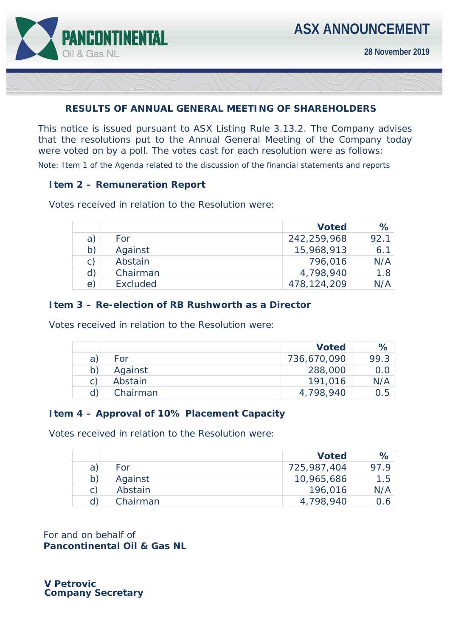

## **RESULTS OF ANNUAL GENERAL MEETING OF SHAREHOLDERS**

This notice is issued pursuant to ASX Listing Rule 3.13.2. The Company advises that the resolutions put to the Annual General Meeting of the Company today were voted on by a poll. The votes cast for each resolution were as follows:

*Note: Item 1 of the Agenda related to the discussion of the financial statements and reports* 

## **Item 2 – Remuneration Report**

Votes received in relation to the Resolution were:

|                |                 | <b>Voted</b> | $\%$ |
|----------------|-----------------|--------------|------|
| a)             | For             | 242,259,968  | 92.1 |
| b)             | Against         | 15,968,913   | 6.1  |
| $\mathsf{C}$ ) | Abstain         | 796,016      | N/A  |
| d)             | Chairman        | 4,798,940    | 1.8  |
| $\epsilon$     | <b>Excluded</b> | 478,124,209  | N/A  |

## **Item 3 – Re-election of RB Rushworth as a Director**

Votes received in relation to the Resolution were:

|   |          | <b>Voted</b> | $\%$ |
|---|----------|--------------|------|
| a | For      | 736,670,090  | 99.3 |
|   | Against  | 288,000      | 0.0  |
|   | Abstain  | 191,016      | N/A  |
|   | Chairman | 4,798,940    | 0.5  |

## **Item 4 – Approval of 10% Placement Capacity**

Votes received in relation to the Resolution were:

|              |          | <b>Voted</b> | $\%$ |
|--------------|----------|--------------|------|
| a            | For      | 725,987,404  | 97 9 |
| b)           | Against  | 10,965,686   | 1.5  |
| $\mathsf{C}$ | Abstain  | 196,016      | N/A  |
| d)           | Chairman | 4,798,940    | 0.6  |

For and on behalf of **Pancontinental Oil & Gas NL** 

 **V Petrovic Company Secretary**